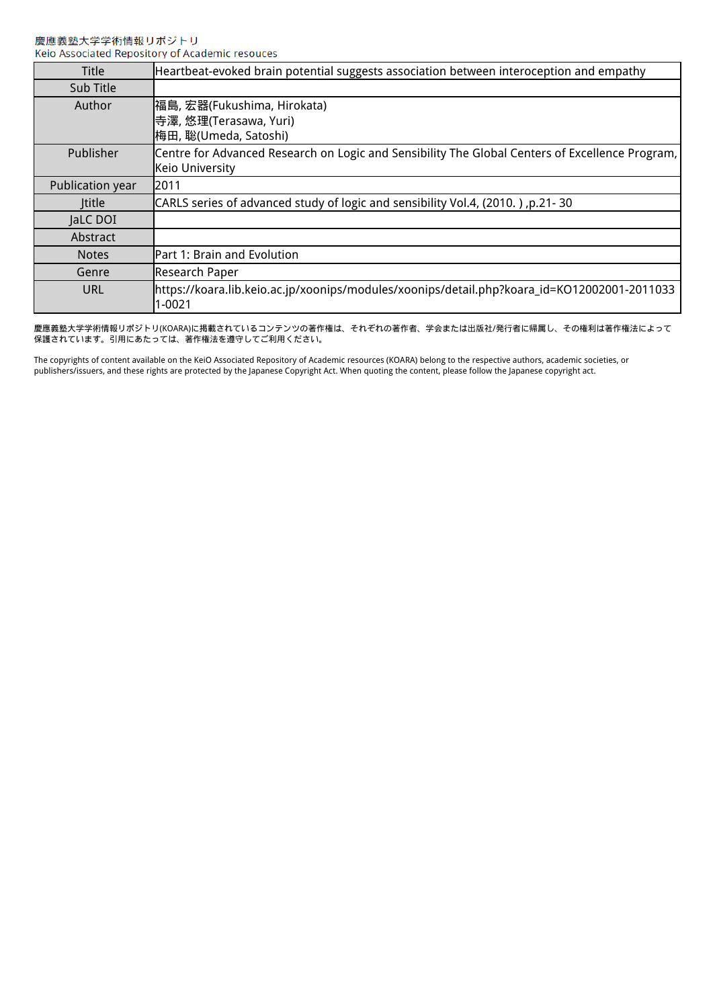| <b>Title</b>     | Heartbeat-evoked brain potential suggests association between interoception and empathy                            |
|------------------|--------------------------------------------------------------------------------------------------------------------|
| Sub Title        |                                                                                                                    |
| Author           | 福島, 宏器(Fukushima, Hirokata)<br>寺澤, 悠理(Terasawa, Yuri)<br>梅田, 聡(Umeda, Satoshi)                                     |
| Publisher        | Centre for Advanced Research on Logic and Sensibility The Global Centers of Excellence Program,<br>Keio University |
| Publication year | 2011                                                                                                               |
| <b>Ititle</b>    | (2010, p.21-30) CARLS series of advanced study of logic and sensibility Vol.4, (2010, )                            |
| JaLC DOI         |                                                                                                                    |
| Abstract         |                                                                                                                    |
| <b>Notes</b>     | Part 1: Brain and Evolution                                                                                        |
| Genre            | Research Paper                                                                                                     |
| URL              | https://koara.lib.keio.ac.jp/xoonips/modules/xoonips/detail.php?koara_id=KO12002001-2011033<br>$1 - 0021$          |

慶應義塾大学学術情報リポジトリ(KOARA)に掲載されているコンテンツの著作権は、それぞれの著作者、学会または出版社/発行者に帰属し、その権利は著作権法によって ーールーン・・・・・・・・・・・・・・・・・・・・・・・・・。<br>保護されています。引用にあたっては、著作権法を遵守してご利用ください。

The copyrights of content available on the KeiO Associated Repository of Academic resources (KOARA) belong to the respective authors, academic societies, or publishers/issuers, and these rights are protected by the Japanese Copyright Act. When quoting the content, please follow the Japanese copyright act.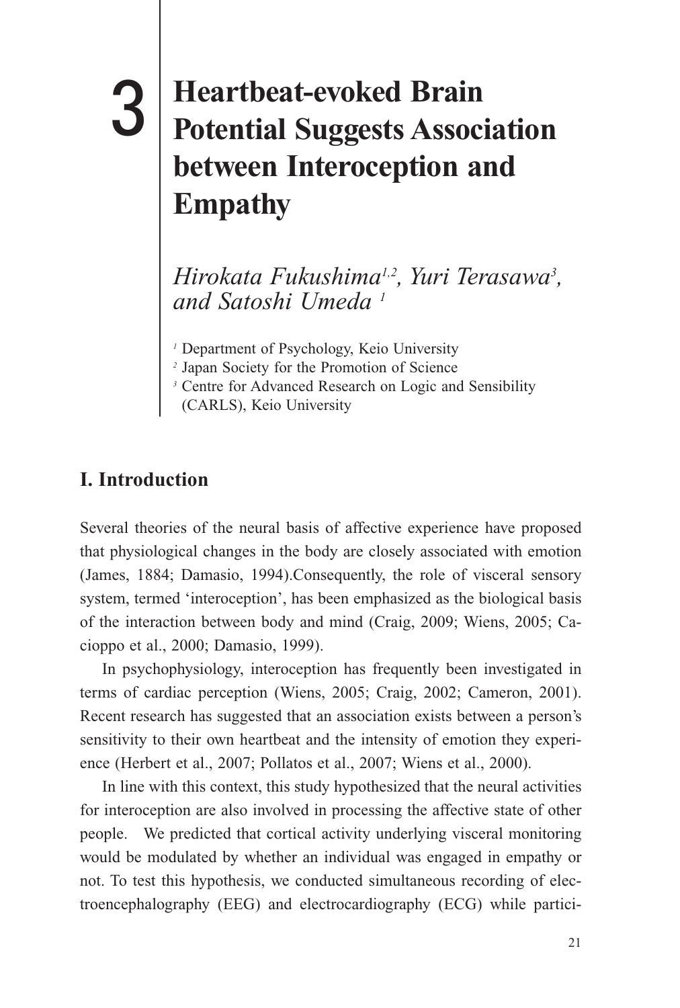# **Heartbeat-evoked Brain Potential Suggests Association**<br> **3** Potential Suggests Association **between Interoception and Empathy**

3. HEARTBEAT-EVOKED BRAIN POTENTIAL SUGGESTS ASSOCIATION BETWEEN INTEROCEPTION AND EMPATHY

*Hirokata Fukushima1,2, Yuri Terasawa3 , and Satoshi Umeda 1*

*1* Department of Psychology, Keio University

*2* Japan Society for the Promotion of Science

(CARLS), Keio University

# **I. Introduction**

Several theories of the neural basis of affective experience have proposed that physiological changes in the body are closely associated with emotion (James, 1884; Damasio, 1994).Consequently, the role of visceral sensory system, termed 'interoception', has been emphasized as the biological basis of the interaction between body and mind (Craig, 2009; Wiens, 2005; Cacioppo et al., 2000; Damasio, 1999).

 In psychophysiology, interoception has frequently been investigated in terms of cardiac perception (Wiens, 2005; Craig, 2002; Cameron, 2001). Recent research has suggested that an association exists between a person's sensitivity to their own heartbeat and the intensity of emotion they experience (Herbert et al., 2007; Pollatos et al., 2007; Wiens et al., 2000).

 In line with this context, this study hypothesized that the neural activities for interoception are also involved in processing the affective state of other people. We predicted that cortical activity underlying visceral monitoring would be modulated by whether an individual was engaged in empathy or not. To test this hypothesis, we conducted simultaneous recording of electroencephalography (EEG) and electrocardiography (ECG) while partici-

*<sup>3</sup>* Centre for Advanced Research on Logic and Sensibility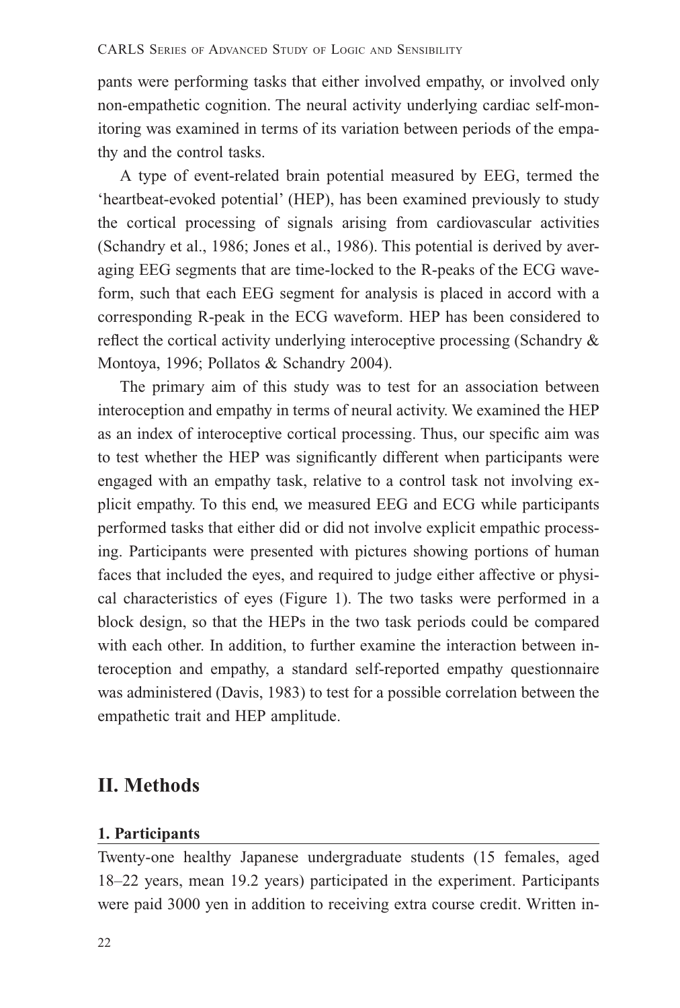pants were performing tasks that either involved empathy, or involved only non-empathetic cognition. The neural activity underlying cardiac self-monitoring was examined in terms of its variation between periods of the empathy and the control tasks.

 A type of event-related brain potential measured by EEG, termed the 'heartbeat-evoked potential' (HEP), has been examined previously to study the cortical processing of signals arising from cardiovascular activities (Schandry et al., 1986; Jones et al., 1986). This potential is derived by averaging EEG segments that are time-locked to the R-peaks of the ECG waveform, such that each EEG segment for analysis is placed in accord with a corresponding R-peak in the ECG waveform. HEP has been considered to reflect the cortical activity underlying interoceptive processing (Schandry  $\&$ Montoya, 1996; Pollatos & Schandry 2004).

 The primary aim of this study was to test for an association between interoception and empathy in terms of neural activity. We examined the HEP as an index of interoceptive cortical processing. Thus, our specific aim was to test whether the HEP was significantly different when participants were engaged with an empathy task, relative to a control task not involving explicit empathy. To this end, we measured EEG and ECG while participants performed tasks that either did or did not involve explicit empathic processing. Participants were presented with pictures showing portions of human faces that included the eyes, and required to judge either affective or physical characteristics of eyes (Figure 1). The two tasks were performed in a block design, so that the HEPs in the two task periods could be compared with each other. In addition, to further examine the interaction between interoception and empathy, a standard self-reported empathy questionnaire was administered (Davis, 1983) to test for a possible correlation between the empathetic trait and HEP amplitude.

# **II. Methods**

# **1. Participants**

Twenty-one healthy Japanese undergraduate students (15 females, aged 18–22 years, mean 19.2 years) participated in the experiment. Participants were paid 3000 yen in addition to receiving extra course credit. Written in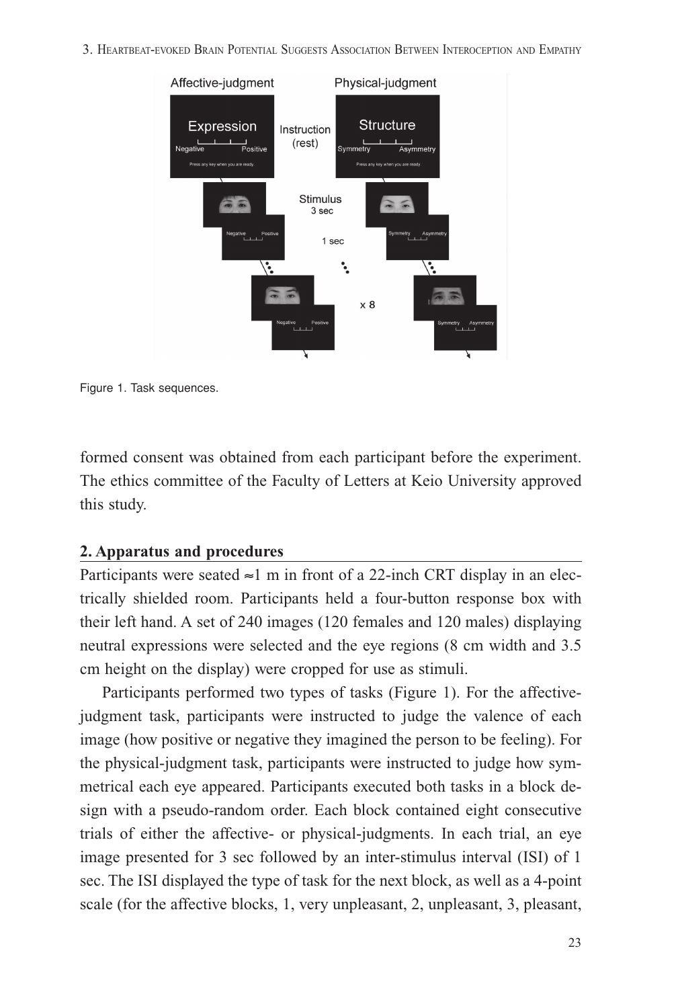3. HEARTBEAT-EVOKED BRAIN POTENTIAL SUGGESTS ASSOCIATION BETWEEN INTEROCEPTION AND EMPATHY



Figure 1. Task sequences.

formed consent was obtained from each participant before the experiment. The ethics committee of the Faculty of Letters at Keio University approved this study.

## **2. Apparatus and procedures**

Participants were seated  $\approx$ 1 m in front of a 22-inch CRT display in an electrically shielded room. Participants held a four-button response box with their left hand. A set of 240 images (120 females and 120 males) displaying neutral expressions were selected and the eye regions (8 cm width and 3.5 cm height on the display) were cropped for use as stimuli.

 Participants performed two types of tasks (Figure 1). For the affectivejudgment task, participants were instructed to judge the valence of each image (how positive or negative they imagined the person to be feeling). For the physical-judgment task, participants were instructed to judge how symmetrical each eye appeared. Participants executed both tasks in a block design with a pseudo-random order. Each block contained eight consecutive trials of either the affective- or physical-judgments. In each trial, an eye image presented for 3 sec followed by an inter-stimulus interval (ISI) of 1 sec. The ISI displayed the type of task for the next block, as well as a 4-point scale (for the affective blocks, 1, very unpleasant, 2, unpleasant, 3, pleasant,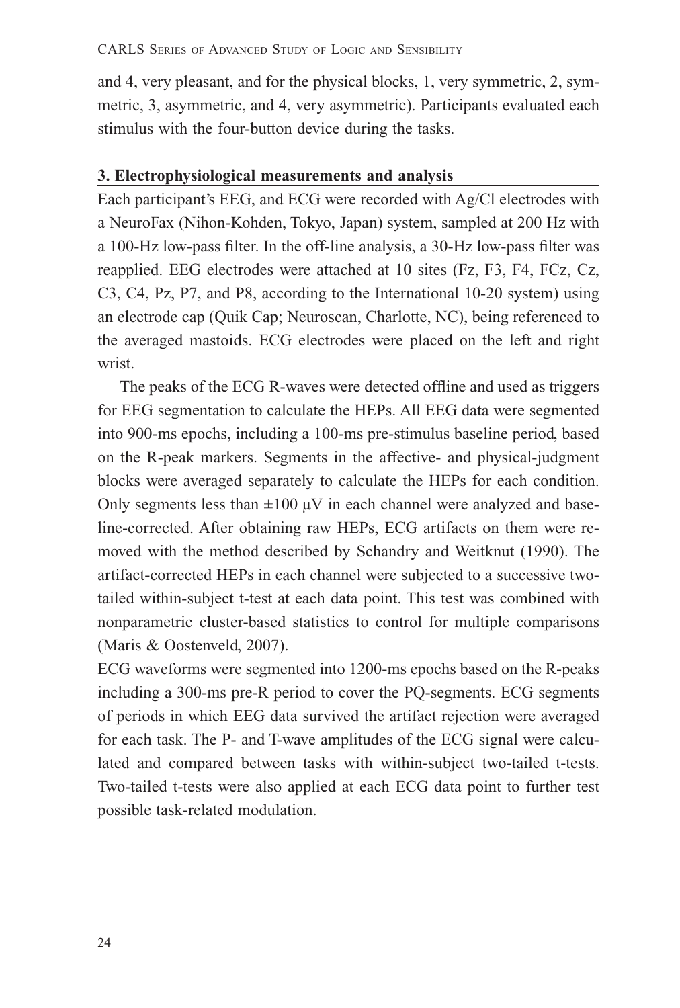and 4, very pleasant, and for the physical blocks, 1, very symmetric, 2, symmetric, 3, asymmetric, and 4, very asymmetric). Participants evaluated each stimulus with the four-button device during the tasks.

## **3. Electrophysiological measurements and analysis**

Each participant's EEG, and ECG were recorded with Ag/Cl electrodes with a NeuroFax (Nihon-Kohden, Tokyo, Japan) system, sampled at 200 Hz with a 100-Hz low-pass filter. In the off-line analysis, a 30-Hz low-pass filter was reapplied. EEG electrodes were attached at 10 sites (Fz, F3, F4, FCz, Cz, C3, C4, Pz, P7, and P8, according to the International 10-20 system) using an electrode cap (Quik Cap; Neuroscan, Charlotte, NC), being referenced to the averaged mastoids. ECG electrodes were placed on the left and right wrist.

The peaks of the ECG R-waves were detected offline and used as triggers for EEG segmentation to calculate the HEPs. All EEG data were segmented into 900-ms epochs, including a 100-ms pre-stimulus baseline period, based on the R-peak markers. Segments in the affective- and physical-judgment blocks were averaged separately to calculate the HEPs for each condition. Only segments less than  $\pm 100 \mu V$  in each channel were analyzed and baseline-corrected. After obtaining raw HEPs, ECG artifacts on them were removed with the method described by Schandry and Weitknut (1990). The artifact-corrected HEPs in each channel were subjected to a successive twotailed within-subject t-test at each data point. This test was combined with nonparametric cluster-based statistics to control for multiple comparisons (Maris & Oostenveld, 2007).

ECG waveforms were segmented into 1200-ms epochs based on the R-peaks including a 300-ms pre-R period to cover the PQ-segments. ECG segments of periods in which EEG data survived the artifact rejection were averaged for each task. The P- and T-wave amplitudes of the ECG signal were calculated and compared between tasks with within-subject two-tailed t-tests. Two-tailed t-tests were also applied at each ECG data point to further test possible task-related modulation.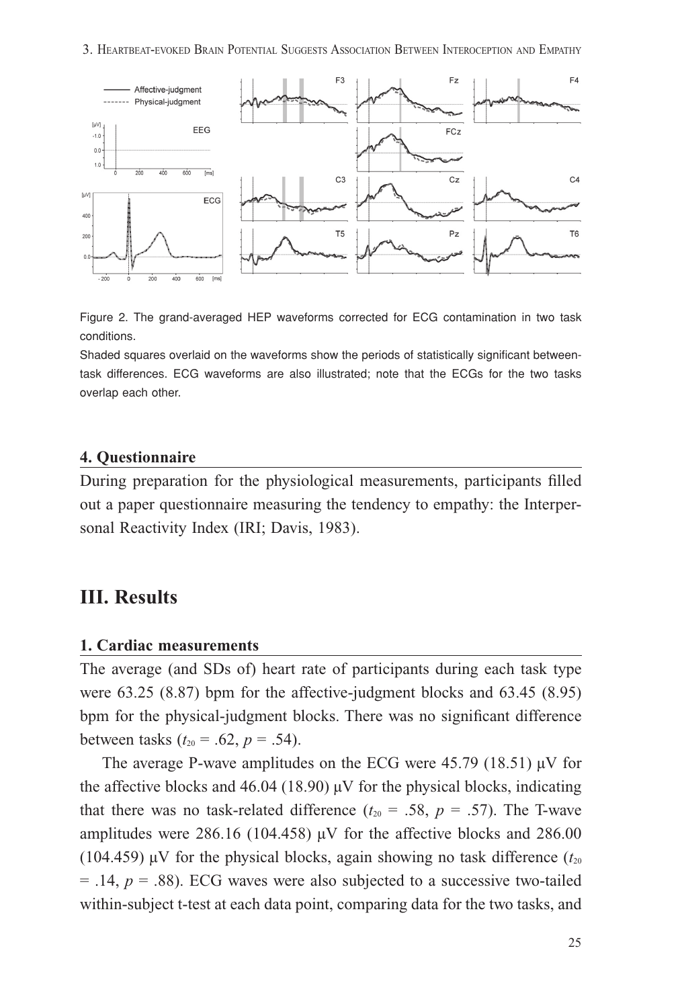3. HEARTBEAT-EVOKED BRAIN POTENTIAL SUGGESTS ASSOCIATION BETWEEN INTEROCEPTION AND EMPATHY



Figure 2. The grand-averaged HEP waveforms corrected for ECG contamination in two task conditions.

Shaded squares overlaid on the waveforms show the periods of statistically significant betweentask differences. ECG waveforms are also illustrated; note that the ECGs for the two tasks overlap each other.

## **4. Questionnaire**

During preparation for the physiological measurements, participants filled out a paper questionnaire measuring the tendency to empathy: the Interpersonal Reactivity Index (IRI; Davis, 1983).

# **III. Results**

#### **1. Cardiac measurements**

The average (and SDs of) heart rate of participants during each task type were 63.25 (8.87) bpm for the affective-judgment blocks and 63.45 (8.95) bpm for the physical-judgment blocks. There was no significant difference between tasks  $(t_{20} = .62, p = .54)$ .

The average P-wave amplitudes on the ECG were 45.79 (18.51) uV for the affective blocks and 46.04 (18.90)  $\mu$ V for the physical blocks, indicating that there was no task-related difference  $(t_{20} = .58, p = .57)$ . The T-wave amplitudes were  $286.16$  (104.458)  $\mu$ V for the affective blocks and  $286.00$ (104.459)  $\mu$ V for the physical blocks, again showing no task difference ( $t_{20}$ )  $=$  .14,  $p = .88$ ). ECG waves were also subjected to a successive two-tailed within-subject t-test at each data point, comparing data for the two tasks, and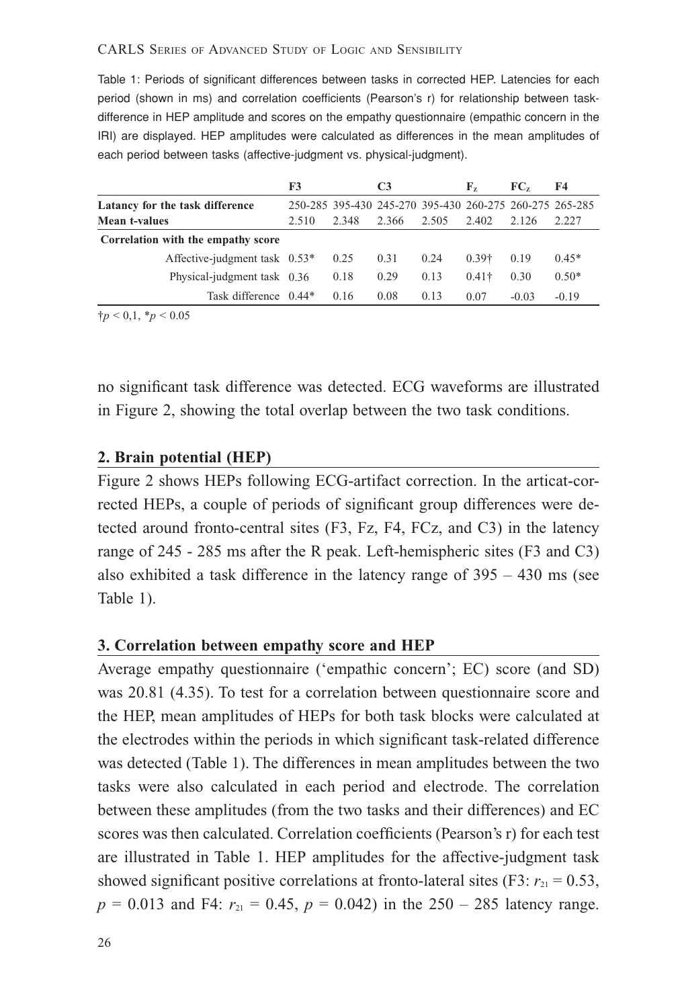#### CARLS SERIES OF ADVANCED STUDY OF LOGIC AND SENSIBILITY

Table 1: Periods of significant differences between tasks in corrected HEP. Latencies for each period (shown in ms) and correlation coefficients (Pearson's r) for relationship between taskdifference in HEP amplitude and scores on the empathy questionnaire (empathic concern in the IRI) are displayed. HEP amplitudes were calculated as differences in the mean amplitudes of each period between tasks (affective-judgment vs. physical-judgment).

|                                    | F3    |       | C <sub>3</sub>                                          |       | F2            | FC <sub>z</sub> | F4      |
|------------------------------------|-------|-------|---------------------------------------------------------|-------|---------------|-----------------|---------|
| Latancy for the task difference    |       |       | 250-285 395-430 245-270 395-430 260-275 260-275 265-285 |       |               |                 |         |
| Mean t-values                      | 2.510 | 2.348 | 2.366                                                   | 2.505 | 2.402         | 2.126           | 2.227   |
| Correlation with the empathy score |       |       |                                                         |       |               |                 |         |
| Affective-judgment task $0.53*$    |       | 0.25  | 0.31                                                    | 0.24  | $0.39+$       | 0.19            | $0.45*$ |
| Physical-judgment task 0.36        |       | 0.18  | 0.29                                                    | 0.13  | $0.41\dagger$ | 0.30            | $0.50*$ |
| Task difference 0.44*              |       | 0.16  | 0.08                                                    | 0.13  | 0.07          | $-0.03$         | $-0.19$ |

 $\dagger p < 0, 1, \dagger p < 0.05$ 

no significant task difference was detected. ECG waveforms are illustrated in Figure 2, showing the total overlap between the two task conditions.

#### **2. Brain potential (HEP)**

Figure 2 shows HEPs following ECG-artifact correction. In the articat-corrected HEPs, a couple of periods of significant group differences were detected around fronto-central sites (F3, Fz, F4, FCz, and C3) in the latency range of 245 - 285 ms after the R peak. Left-hemispheric sites (F3 and C3) also exhibited a task difference in the latency range of 395 – 430 ms (see Table 1).

#### **3. Correlation between empathy score and HEP**

Average empathy questionnaire ('empathic concern'; EC) score (and SD) was 20.81 (4.35). To test for a correlation between questionnaire score and the HEP, mean amplitudes of HEPs for both task blocks were calculated at the electrodes within the periods in which significant task-related difference was detected (Table 1). The differences in mean amplitudes between the two tasks were also calculated in each period and electrode. The correlation between these amplitudes (from the two tasks and their differences) and EC scores was then calculated. Correlation coefficients (Pearson's r) for each test are illustrated in Table 1. HEP amplitudes for the affective-judgment task showed significant positive correlations at fronto-lateral sites (F3:  $r_{21} = 0.53$ ,  $p = 0.013$  and F4:  $r_{21} = 0.45$ ,  $p = 0.042$ ) in the 250 – 285 latency range.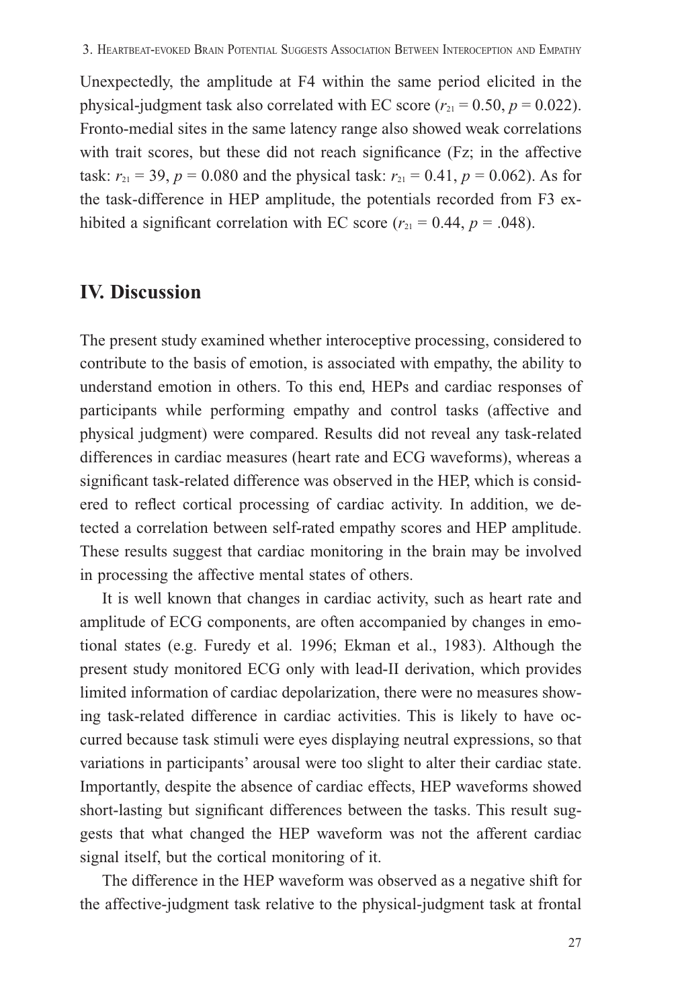Unexpectedly, the amplitude at F4 within the same period elicited in the physical-judgment task also correlated with EC score  $(r_{21} = 0.50, p = 0.022)$ . Fronto-medial sites in the same latency range also showed weak correlations with trait scores, but these did not reach significance (Fz; in the affective task:  $r_{21} = 39$ ,  $p = 0.080$  and the physical task:  $r_{21} = 0.41$ ,  $p = 0.062$ ). As for the task-difference in HEP amplitude, the potentials recorded from F3 exhibited a significant correlation with EC score  $(r_{21} = 0.44, p = .048)$ .

# **IV. Discussion**

The present study examined whether interoceptive processing, considered to contribute to the basis of emotion, is associated with empathy, the ability to understand emotion in others. To this end, HEPs and cardiac responses of participants while performing empathy and control tasks (affective and physical judgment) were compared. Results did not reveal any task-related differences in cardiac measures (heart rate and ECG waveforms), whereas a significant task-related difference was observed in the HEP, which is considered to reflect cortical processing of cardiac activity. In addition, we detected a correlation between self-rated empathy scores and HEP amplitude. These results suggest that cardiac monitoring in the brain may be involved in processing the affective mental states of others.

 It is well known that changes in cardiac activity, such as heart rate and amplitude of ECG components, are often accompanied by changes in emotional states (e.g. Furedy et al. 1996; Ekman et al., 1983). Although the present study monitored ECG only with lead-II derivation, which provides limited information of cardiac depolarization, there were no measures showing task-related difference in cardiac activities. This is likely to have occurred because task stimuli were eyes displaying neutral expressions, so that variations in participants' arousal were too slight to alter their cardiac state. Importantly, despite the absence of cardiac effects, HEP waveforms showed short-lasting but significant differences between the tasks. This result suggests that what changed the HEP waveform was not the afferent cardiac signal itself, but the cortical monitoring of it.

 The difference in the HEP waveform was observed as a negative shift for the affective-judgment task relative to the physical-judgment task at frontal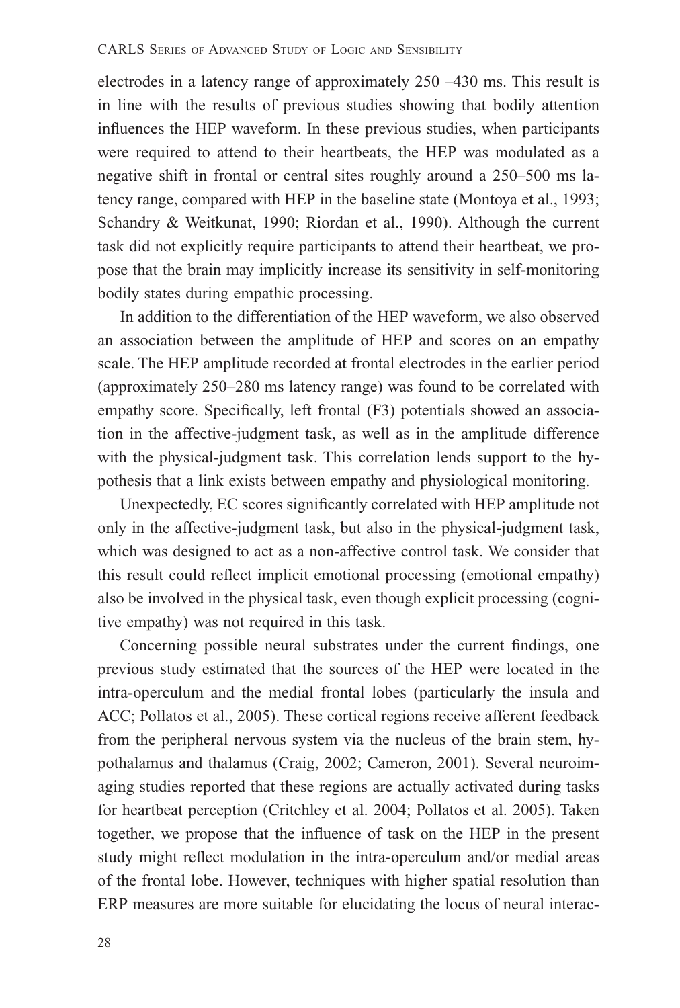electrodes in a latency range of approximately 250 –430 ms. This result is in line with the results of previous studies showing that bodily attention influences the HEP waveform. In these previous studies, when participants were required to attend to their heartbeats, the HEP was modulated as a negative shift in frontal or central sites roughly around a 250–500 ms latency range, compared with HEP in the baseline state (Montoya et al., 1993; Schandry & Weitkunat, 1990; Riordan et al., 1990). Although the current task did not explicitly require participants to attend their heartbeat, we propose that the brain may implicitly increase its sensitivity in self-monitoring bodily states during empathic processing.

 In addition to the differentiation of the HEP waveform, we also observed an association between the amplitude of HEP and scores on an empathy scale. The HEP amplitude recorded at frontal electrodes in the earlier period (approximately 250–280 ms latency range) was found to be correlated with empathy score. Specifically, left frontal (F3) potentials showed an association in the affective-judgment task, as well as in the amplitude difference with the physical-judgment task. This correlation lends support to the hypothesis that a link exists between empathy and physiological monitoring.

Unexpectedly, EC scores significantly correlated with HEP amplitude not only in the affective-judgment task, but also in the physical-judgment task, which was designed to act as a non-affective control task. We consider that this result could reflect implicit emotional processing (emotional empathy) also be involved in the physical task, even though explicit processing (cognitive empathy) was not required in this task.

Concerning possible neural substrates under the current findings, one previous study estimated that the sources of the HEP were located in the intra-operculum and the medial frontal lobes (particularly the insula and ACC; Pollatos et al., 2005). These cortical regions receive afferent feedback from the peripheral nervous system via the nucleus of the brain stem, hypothalamus and thalamus (Craig, 2002; Cameron, 2001). Several neuroimaging studies reported that these regions are actually activated during tasks for heartbeat perception (Critchley et al. 2004; Pollatos et al. 2005). Taken together, we propose that the influence of task on the HEP in the present study might reflect modulation in the intra-operculum and/or medial areas of the frontal lobe. However, techniques with higher spatial resolution than ERP measures are more suitable for elucidating the locus of neural interac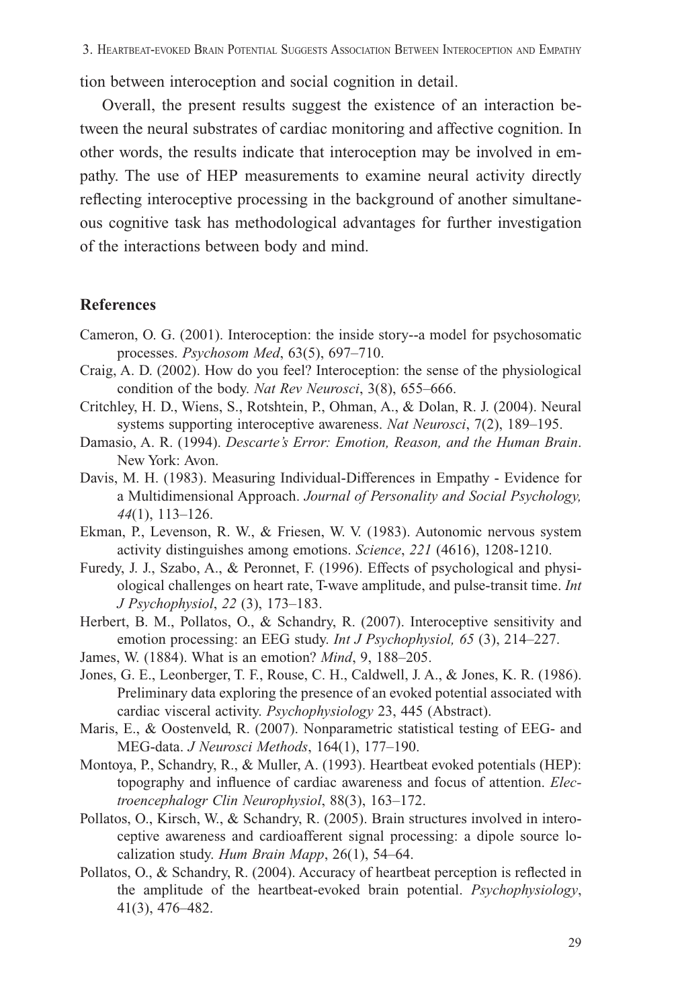tion between interoception and social cognition in detail.

 Overall, the present results suggest the existence of an interaction between the neural substrates of cardiac monitoring and affective cognition. In other words, the results indicate that interoception may be involved in empathy. The use of HEP measurements to examine neural activity directly reflecting interoceptive processing in the background of another simultaneous cognitive task has methodological advantages for further investigation of the interactions between body and mind.

## **References**

- Cameron, O. G. (2001). Interoception: the inside story--a model for psychosomatic processes. *Psychosom Med*, 63(5), 697–710.
- Craig, A. D. (2002). How do you feel? Interoception: the sense of the physiological condition of the body. *Nat Rev Neurosci*, 3(8), 655–666.
- Critchley, H. D., Wiens, S., Rotshtein, P., Ohman, A., & Dolan, R. J. (2004). Neural systems supporting interoceptive awareness. *Nat Neurosci*, 7(2), 189–195.
- Damasio, A. R. (1994). *Descarte's Error: Emotion, Reason, and the Human Brain*. New York: Avon.
- Davis, M. H. (1983). Measuring Individual-Differences in Empathy Evidence for a Multidimensional Approach. *Journal of Personality and Social Psychology, 44*(1), 113–126.
- Ekman, P., Levenson, R. W., & Friesen, W. V. (1983). Autonomic nervous system activity distinguishes among emotions. *Science*, *221* (4616), 1208-1210.
- Furedy, J. J., Szabo, A., & Peronnet, F. (1996). Effects of psychological and physiological challenges on heart rate, T-wave amplitude, and pulse-transit time. *Int J Psychophysiol*, *22* (3), 173–183.
- Herbert, B. M., Pollatos, O., & Schandry, R. (2007). Interoceptive sensitivity and emotion processing: an EEG study. *Int J Psychophysiol, 65* (3), 214–227.
- James, W. (1884). What is an emotion? *Mind*, 9, 188–205.
- Jones, G. E., Leonberger, T. F., Rouse, C. H., Caldwell, J. A., & Jones, K. R. (1986). Preliminary data exploring the presence of an evoked potential associated with cardiac visceral activity. *Psychophysiology* 23, 445 (Abstract).
- Maris, E., & Oostenveld, R. (2007). Nonparametric statistical testing of EEG- and MEG-data. *J Neurosci Methods*, 164(1), 177–190.
- Montoya, P., Schandry, R., & Muller, A. (1993). Heartbeat evoked potentials (HEP): topography and influence of cardiac awareness and focus of attention. *Electroencephalogr Clin Neurophysiol*, 88(3), 163–172.
- Pollatos, O., Kirsch, W., & Schandry, R. (2005). Brain structures involved in interoceptive awareness and cardioafferent signal processing: a dipole source localization study. *Hum Brain Mapp*, 26(1), 54–64.
- Pollatos, O., & Schandry, R. (2004). Accuracy of heartbeat perception is reflected in the amplitude of the heartbeat-evoked brain potential. *Psychophysiology*, 41(3), 476–482.